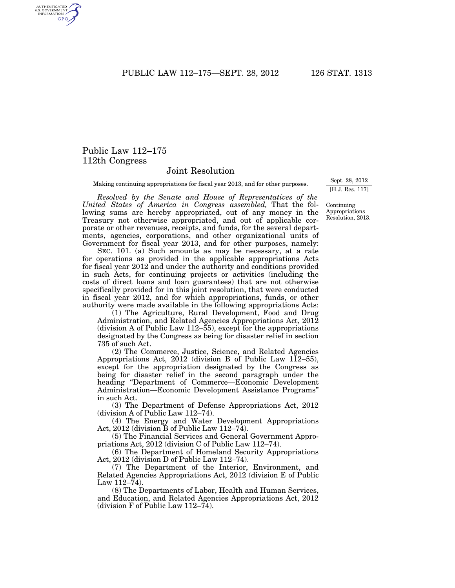PUBLIC LAW 112–175—SEPT. 28, 2012 126 STAT. 1313

## Public Law 112–175 112th Congress

## Joint Resolution

Making continuing appropriations for fiscal year 2013, and for other purposes.

*Resolved by the Senate and House of Representatives of the United States of America in Congress assembled,* That the following sums are hereby appropriated, out of any money in the Treasury not otherwise appropriated, and out of applicable corporate or other revenues, receipts, and funds, for the several departments, agencies, corporations, and other organizational units of Government for fiscal year 2013, and for other purposes, namely:

SEC. 101. (a) Such amounts as may be necessary, at a rate for operations as provided in the applicable appropriations Acts for fiscal year 2012 and under the authority and conditions provided in such Acts, for continuing projects or activities (including the costs of direct loans and loan guarantees) that are not otherwise specifically provided for in this joint resolution, that were conducted in fiscal year 2012, and for which appropriations, funds, or other authority were made available in the following appropriations Acts:

(1) The Agriculture, Rural Development, Food and Drug Administration, and Related Agencies Appropriations Act, 2012 (division A of Public Law 112–55), except for the appropriations designated by the Congress as being for disaster relief in section 735 of such Act.

(2) The Commerce, Justice, Science, and Related Agencies Appropriations Act, 2012 (division B of Public Law 112–55), except for the appropriation designated by the Congress as being for disaster relief in the second paragraph under the heading ''Department of Commerce—Economic Development Administration—Economic Development Assistance Programs'' in such Act.

(3) The Department of Defense Appropriations Act, 2012 (division A of Public Law 112–74).

(4) The Energy and Water Development Appropriations Act, 2012 (division B of Public Law 112–74).

(5) The Financial Services and General Government Appropriations Act, 2012 (division C of Public Law 112–74).

(6) The Department of Homeland Security Appropriations Act, 2012 (division D of Public Law 112–74).

(7) The Department of the Interior, Environment, and Related Agencies Appropriations Act, 2012 (division E of Public Law  $112-\bar{7}4$ ).

(8) The Departments of Labor, Health and Human Services, and Education, and Related Agencies Appropriations Act, 2012 (division F of Public Law 112–74).

Sept. 28, 2012 [H.J. Res. 117]

Continuing Appropriations Resolution, 2013.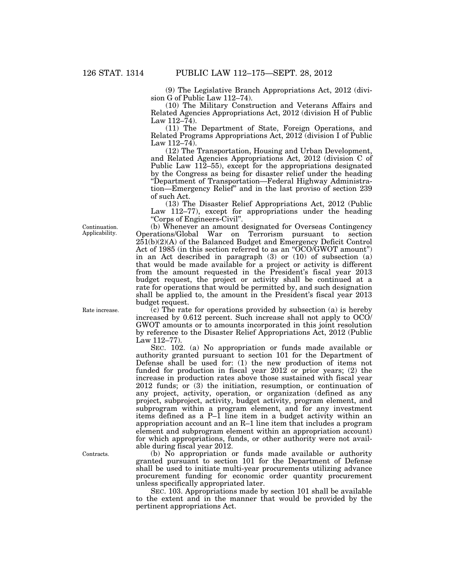(9) The Legislative Branch Appropriations Act, 2012 (division G of Public Law 112–74).

(10) The Military Construction and Veterans Affairs and Related Agencies Appropriations Act, 2012 (division H of Public Law  $112 - 74$ ).

(11) The Department of State, Foreign Operations, and Related Programs Appropriations Act, 2012 (division I of Public Law  $112-74$ .

(12) The Transportation, Housing and Urban Development, and Related Agencies Appropriations Act, 2012 (division C of Public Law 112–55), except for the appropriations designated by the Congress as being for disaster relief under the heading ''Department of Transportation—Federal Highway Administration—Emergency Relief'' and in the last proviso of section 239 of such Act.

(13) The Disaster Relief Appropriations Act, 2012 (Public Law 112–77), except for appropriations under the heading ''Corps of Engineers-Civil''.

(b) Whenever an amount designated for Overseas Contingency Operations/Global War on Terrorism pursuant to section  $251(b)(2)(A)$  of the Balanced Budget and Emergency Deficit Control Act of 1985 (in this section referred to as an "OCO/GWOT amount") in an Act described in paragraph (3) or (10) of subsection (a) that would be made available for a project or activity is different from the amount requested in the President's fiscal year 2013 budget request, the project or activity shall be continued at a rate for operations that would be permitted by, and such designation shall be applied to, the amount in the President's fiscal year 2013 budget request.

 $\tilde{c}$  (c) The rate for operations provided by subsection (a) is hereby increased by 0.612 percent. Such increase shall not apply to OCO/ GWOT amounts or to amounts incorporated in this joint resolution by reference to the Disaster Relief Appropriations Act, 2012 (Public Law 112–77).

SEC. 102. (a) No appropriation or funds made available or authority granted pursuant to section 101 for the Department of Defense shall be used for: (1) the new production of items not funded for production in fiscal year 2012 or prior years; (2) the increase in production rates above those sustained with fiscal year 2012 funds; or (3) the initiation, resumption, or continuation of any project, activity, operation, or organization (defined as any project, subproject, activity, budget activity, program element, and subprogram within a program element, and for any investment items defined as a P–1 line item in a budget activity within an appropriation account and an R–1 line item that includes a program element and subprogram element within an appropriation account) for which appropriations, funds, or other authority were not available during fiscal year 2012.

(b) No appropriation or funds made available or authority granted pursuant to section 101 for the Department of Defense shall be used to initiate multi-year procurements utilizing advance procurement funding for economic order quantity procurement unless specifically appropriated later.

SEC. 103. Appropriations made by section 101 shall be available to the extent and in the manner that would be provided by the pertinent appropriations Act.

Continuation. Applicability.

Rate increase.

Contracts.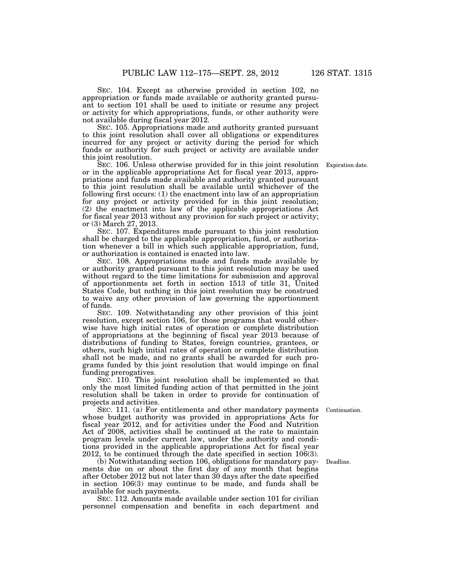SEC. 104. Except as otherwise provided in section 102, no appropriation or funds made available or authority granted pursuant to section 101 shall be used to initiate or resume any project or activity for which appropriations, funds, or other authority were not available during fiscal year 2012.

SEC. 105. Appropriations made and authority granted pursuant to this joint resolution shall cover all obligations or expenditures incurred for any project or activity during the period for which funds or authority for such project or activity are available under this joint resolution.

SEC. 106. Unless otherwise provided for in this joint resolution or in the applicable appropriations Act for fiscal year 2013, appropriations and funds made available and authority granted pursuant to this joint resolution shall be available until whichever of the following first occurs: (1) the enactment into law of an appropriation for any project or activity provided for in this joint resolution; (2) the enactment into law of the applicable appropriations Act for fiscal year 2013 without any provision for such project or activity; or (3) March 27, 2013.

SEC. 107. Expenditures made pursuant to this joint resolution shall be charged to the applicable appropriation, fund, or authorization whenever a bill in which such applicable appropriation, fund, or authorization is contained is enacted into law.

SEC. 108. Appropriations made and funds made available by or authority granted pursuant to this joint resolution may be used without regard to the time limitations for submission and approval of apportionments set forth in section 1513 of title 31, United States Code, but nothing in this joint resolution may be construed to waive any other provision of law governing the apportionment of funds.

SEC. 109. Notwithstanding any other provision of this joint resolution, except section 106, for those programs that would otherwise have high initial rates of operation or complete distribution of appropriations at the beginning of fiscal year 2013 because of distributions of funding to States, foreign countries, grantees, or others, such high initial rates of operation or complete distribution shall not be made, and no grants shall be awarded for such programs funded by this joint resolution that would impinge on final funding prerogatives.

SEC. 110. This joint resolution shall be implemented so that only the most limited funding action of that permitted in the joint resolution shall be taken in order to provide for continuation of projects and activities.

SEC. 111. (a) For entitlements and other mandatory payments whose budget authority was provided in appropriations Acts for fiscal year 2012, and for activities under the Food and Nutrition Act of 2008, activities shall be continued at the rate to maintain program levels under current law, under the authority and conditions provided in the applicable appropriations Act for fiscal year 2012, to be continued through the date specified in section 106(3).

(b) Notwithstanding section 106, obligations for mandatory payments due on or about the first day of any month that begins after October 2012 but not later than 30 days after the date specified in section 106(3) may continue to be made, and funds shall be available for such payments.

SEC. 112. Amounts made available under section 101 for civilian personnel compensation and benefits in each department and

Expiration date.

Continuation.

Deadline.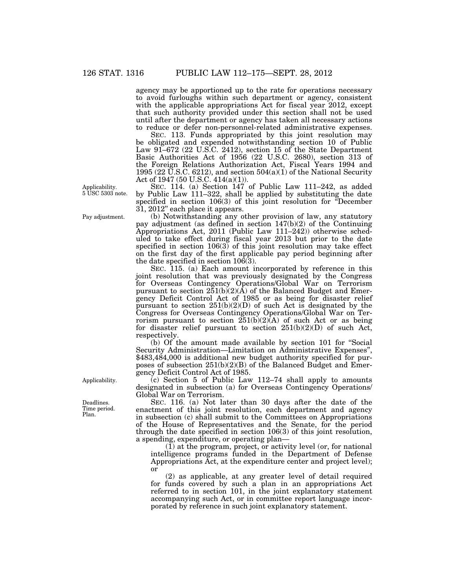agency may be apportioned up to the rate for operations necessary to avoid furloughs within such department or agency, consistent with the applicable appropriations Act for fiscal year 2012, except that such authority provided under this section shall not be used until after the department or agency has taken all necessary actions to reduce or defer non-personnel-related administrative expenses.

SEC. 113. Funds appropriated by this joint resolution may be obligated and expended notwithstanding section 10 of Public Law 91–672 (22 U.S.C. 2412), section 15 of the State Department Basic Authorities Act of 1956 (22 U.S.C. 2680), section 313 of the Foreign Relations Authorization Act, Fiscal Years 1994 and 1995 (22 U.S.C. 6212), and section  $504(a)(1)$  of the National Security Act of 1947 (50 U.S.C. 414(a)(1)).

SEC. 114. (a) Section 147 of Public Law 111–242, as added by Public Law 111–322, shall be applied by substituting the date specified in section 106(3) of this joint resolution for ''December 31, 2012'' each place it appears.

(b) Notwithstanding any other provision of law, any statutory pay adjustment (as defined in section 147(b)(2) of the Continuing Appropriations Act, 2011 (Public Law 111–242)) otherwise scheduled to take effect during fiscal year 2013 but prior to the date specified in section 106(3) of this joint resolution may take effect on the first day of the first applicable pay period beginning after the date specified in section  $10\overline{6(3)}$ .

SEC. 115. (a) Each amount incorporated by reference in this joint resolution that was previously designated by the Congress for Overseas Contingency Operations/Global War on Terrorism pursuant to section  $251(b)(2)(\text{\AA})$  of the Balanced Budget and Emergency Deficit Control Act of 1985 or as being for disaster relief pursuant to section 251(b)(2)(D) of such Act is designated by the Congress for Overseas Contingency Operations/Global War on Terrorism pursuant to section 251(b)(2)(A) of such Act or as being for disaster relief pursuant to section  $251(b)(2)(D)$  of such Act, respectively.

(b) Of the amount made available by section 101 for ''Social Security Administration—Limitation on Administrative Expenses'', \$483,484,000 is additional new budget authority specified for purposes of subsection 251(b)(2)(B) of the Balanced Budget and Emergency Deficit Control Act of 1985.

(c) Section 5 of Public Law 112–74 shall apply to amounts designated in subsection (a) for Overseas Contingency Operations/ Global War on Terrorism.

SEC. 116. (a) Not later than 30 days after the date of the enactment of this joint resolution, each department and agency in subsection (c) shall submit to the Committees on Appropriations of the House of Representatives and the Senate, for the period through the date specified in section 106(3) of this joint resolution, a spending, expenditure, or operating plan—

(1) at the program, project, or activity level (or, for national intelligence programs funded in the Department of Defense Appropriations Act, at the expenditure center and project level); or

(2) as applicable, at any greater level of detail required for funds covered by such a plan in an appropriations Act referred to in section 101, in the joint explanatory statement accompanying such Act, or in committee report language incorporated by reference in such joint explanatory statement.

Applicability. 5 USC 5303 note.

Pay adjustment.

Applicability.

Deadlines. Time period. Plan.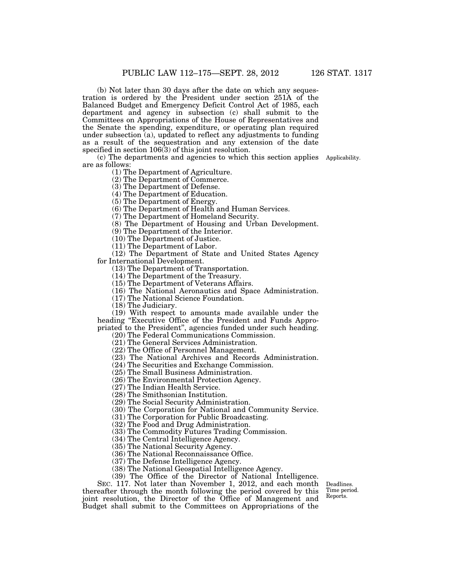(b) Not later than 30 days after the date on which any sequestration is ordered by the President under section 251A of the Balanced Budget and Emergency Deficit Control Act of 1985, each department and agency in subsection (c) shall submit to the Committees on Appropriations of the House of Representatives and the Senate the spending, expenditure, or operating plan required under subsection (a), updated to reflect any adjustments to funding as a result of the sequestration and any extension of the date specified in section 106(3) of this joint resolution.

(c) The departments and agencies to which this section applies Applicability. are as follows:

(1) The Department of Agriculture.

(2) The Department of Commerce.

(3) The Department of Defense.

(4) The Department of Education.

(5) The Department of Energy.

(6) The Department of Health and Human Services.

(7) The Department of Homeland Security.

(8) The Department of Housing and Urban Development.

(9) The Department of the Interior.

(10) The Department of Justice.

(11) The Department of Labor.

(12) The Department of State and United States Agency for International Development.

(13) The Department of Transportation.

(14) The Department of the Treasury.

(15) The Department of Veterans Affairs.

(16) The National Aeronautics and Space Administration.

(17) The National Science Foundation.

(18) The Judiciary.

(19) With respect to amounts made available under the heading ''Executive Office of the President and Funds Appropriated to the President'', agencies funded under such heading.

(20) The Federal Communications Commission.

(21) The General Services Administration.

(22) The Office of Personnel Management.

(23) The National Archives and Records Administration.

(24) The Securities and Exchange Commission.

(25) The Small Business Administration.

(26) The Environmental Protection Agency.

(27) The Indian Health Service.

(28) The Smithsonian Institution.

(29) The Social Security Administration.

(30) The Corporation for National and Community Service.

(31) The Corporation for Public Broadcasting.

(32) The Food and Drug Administration.

(33) The Commodity Futures Trading Commission.

(34) The Central Intelligence Agency.

(35) The National Security Agency.

(36) The National Reconnaissance Office.

(37) The Defense Intelligence Agency.

(38) The National Geospatial Intelligence Agency.

(39) The Office of the Director of National Intelligence.

SEC. 117. Not later than November 1, 2012, and each month thereafter through the month following the period covered by this joint resolution, the Director of the Office of Management and Budget shall submit to the Committees on Appropriations of the

Deadlines. Time period. Reports.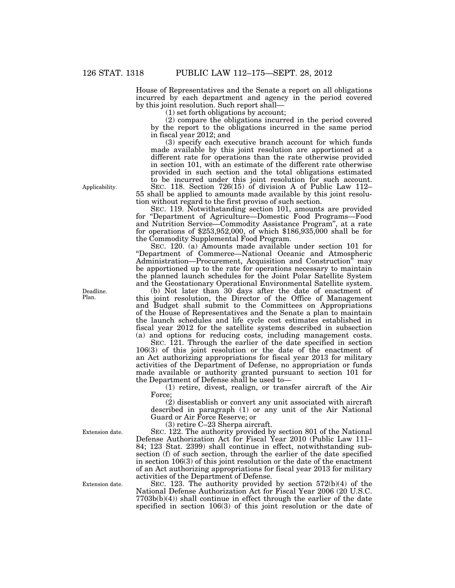House of Representatives and the Senate a report on all obligations incurred by each department and agency in the period covered by this joint resolution. Such report shall—

(1) set forth obligations by account;

(2) compare the obligations incurred in the period covered by the report to the obligations incurred in the same period in fiscal year 2012; and

(3) specify each executive branch account for which funds made available by this joint resolution are apportioned at a different rate for operations than the rate otherwise provided in section 101, with an estimate of the different rate otherwise provided in such section and the total obligations estimated to be incurred under this joint resolution for such account.

SEC. 118. Section 726(15) of division A of Public Law 112– 55 shall be applied to amounts made available by this joint resolution without regard to the first proviso of such section.

SEC. 119. Notwithstanding section 101, amounts are provided for ''Department of Agriculture—Domestic Food Programs—Food and Nutrition Service—Commodity Assistance Program'', at a rate for operations of \$253,952,000, of which \$186,935,000 shall be for the Commodity Supplemental Food Program.

SEC. 120. (a) Amounts made available under section 101 for ''Department of Commerce—National Oceanic and Atmospheric Administration—Procurement, Acquisition and Construction<sup>5</sup> may be apportioned up to the rate for operations necessary to maintain the planned launch schedules for the Joint Polar Satellite System and the Geostationary Operational Environmental Satellite system.

(b) Not later than 30 days after the date of enactment of this joint resolution, the Director of the Office of Management and Budget shall submit to the Committees on Appropriations of the House of Representatives and the Senate a plan to maintain the launch schedules and life cycle cost estimates established in fiscal year 2012 for the satellite systems described in subsection (a) and options for reducing costs, including management costs.

SEC. 121. Through the earlier of the date specified in section 106(3) of this joint resolution or the date of the enactment of an Act authorizing appropriations for fiscal year 2013 for military activities of the Department of Defense, no appropriation or funds made available or authority granted pursuant to section 101 for the Department of Defense shall be used to—

(1) retire, divest, realign, or transfer aircraft of the Air Force;

(2) disestablish or convert any unit associated with aircraft described in paragraph (1) or any unit of the Air National Guard or Air Force Reserve; or

(3) retire C–23 Sherpa aircraft.

SEC. 122. The authority provided by section 801 of the National Defense Authorization Act for Fiscal Year 2010 (Public Law 111– 84; 123 Stat. 2399) shall continue in effect, notwithstanding subsection (f) of such section, through the earlier of the date specified in section 106(3) of this joint resolution or the date of the enactment of an Act authorizing appropriations for fiscal year 2013 for military activities of the Department of Defense.

SEC. 123. The authority provided by section  $572(b)(4)$  of the National Defense Authorization Act for Fiscal Year 2006 (20 U.S.C. 7703b(b)(4)) shall continue in effect through the earlier of the date specified in section 106(3) of this joint resolution or the date of

Applicability.

Deadline. Plan.

Extension date.

Extension date.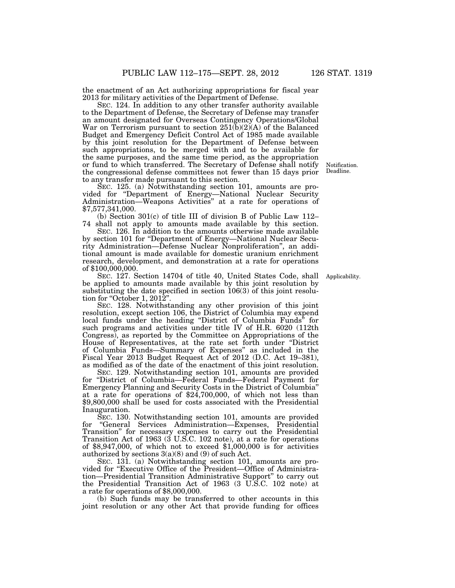the enactment of an Act authorizing appropriations for fiscal year 2013 for military activities of the Department of Defense.

SEC. 124. In addition to any other transfer authority available to the Department of Defense, the Secretary of Defense may transfer an amount designated for Overseas Contingency Operations/Global War on Terrorism pursuant to section  $251(b)(2)(A)$  of the Balanced Budget and Emergency Deficit Control Act of 1985 made available by this joint resolution for the Department of Defense between such appropriations, to be merged with and to be available for the same purposes, and the same time period, as the appropriation or fund to which transferred. The Secretary of Defense shall notify the congressional defense committees not fewer than 15 days prior to any transfer made pursuant to this section.

SEC. 125. (a) Notwithstanding section 101, amounts are provided for ''Department of Energy—National Nuclear Security Administration—Weapons Activities'' at a rate for operations of \$7,577,341,000.

(b) Section 301(c) of title III of division B of Public Law 112– 74 shall not apply to amounts made available by this section.

SEC. 126. In addition to the amounts otherwise made available by section 101 for ''Department of Energy—National Nuclear Security Administration—Defense Nuclear Nonproliferation'', an additional amount is made available for domestic uranium enrichment research, development, and demonstration at a rate for operations of \$100,000,000.

SEC. 127. Section 14704 of title 40, United States Code, shall be applied to amounts made available by this joint resolution by substituting the date specified in section 106(3) of this joint resolution for "October 1, 2012".

SEC. 128. Notwithstanding any other provision of this joint resolution, except section 106, the District of Columbia may expend local funds under the heading ''District of Columbia Funds'' for such programs and activities under title IV of H.R. 6020 (112th Congress), as reported by the Committee on Appropriations of the House of Representatives, at the rate set forth under ''District of Columbia Funds—Summary of Expenses'' as included in the Fiscal Year 2013 Budget Request Act of 2012 (D.C. Act 19–381), as modified as of the date of the enactment of this joint resolution.

SEC. 129. Notwithstanding section 101, amounts are provided for ''District of Columbia—Federal Funds—Federal Payment for Emergency Planning and Security Costs in the District of Columbia'' at a rate for operations of \$24,700,000, of which not less than \$9,800,000 shall be used for costs associated with the Presidential Inauguration.

SEC. 130. Notwithstanding section 101, amounts are provided for ''General Services Administration—Expenses, Presidential Transition'' for necessary expenses to carry out the Presidential Transition Act of 1963 (3 U.S.C. 102 note), at a rate for operations of \$8,947,000, of which not to exceed \$1,000,000 is for activities authorized by sections  $3(a)(8)$  and  $(9)$  of such Act.

SEC. 131. (a) Notwithstanding section 101, amounts are provided for ''Executive Office of the President—Office of Administration—Presidential Transition Administrative Support'' to carry out the Presidential Transition Act of 1963 (3 U.S.C. 102 note) at a rate for operations of \$8,000,000.

(b) Such funds may be transferred to other accounts in this joint resolution or any other Act that provide funding for offices

Notification. Deadline.

Applicability.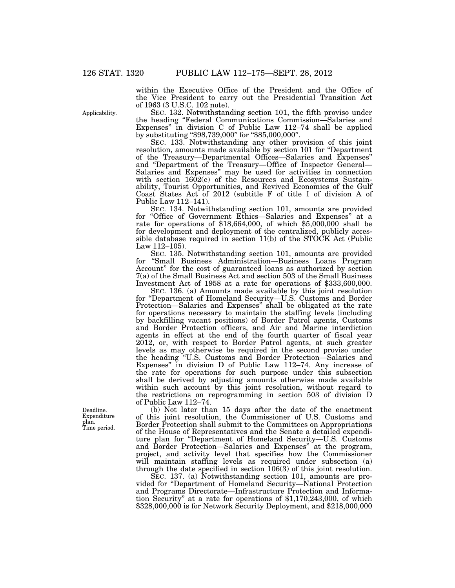within the Executive Office of the President and the Office of the Vice President to carry out the Presidential Transition Act of 1963 (3 U.S.C. 102 note).

SEC. 132. Notwithstanding section 101, the fifth proviso under the heading ''Federal Communications Commission—Salaries and Expenses'' in division C of Public Law 112–74 shall be applied by substituting "\$98,739,000" for "\$85,000,000".

SEC. 133. Notwithstanding any other provision of this joint resolution, amounts made available by section 101 for ''Department of the Treasury—Departmental Offices—Salaries and Expenses'' and ''Department of the Treasury—Office of Inspector General— Salaries and Expenses'' may be used for activities in connection with section  $1602(e)$  of the Resources and Ecosystems Sustainability, Tourist Opportunities, and Revived Economies of the Gulf Coast States Act of 2012 (subtitle F of title I of division A of Public Law 112–141).

SEC. 134. Notwithstanding section 101, amounts are provided for ''Office of Government Ethics—Salaries and Expenses'' at a rate for operations of \$18,664,000, of which \$5,000,000 shall be for development and deployment of the centralized, publicly accessible database required in section 11(b) of the STOCK Act (Public Law  $112 - 105$ 

SEC. 135. Notwithstanding section 101, amounts are provided for ''Small Business Administration—Business Loans Program Account'' for the cost of guaranteed loans as authorized by section 7(a) of the Small Business Act and section 503 of the Small Business Investment Act of 1958 at a rate for operations of \$333,600,000.

SEC. 136. (a) Amounts made available by this joint resolution for ''Department of Homeland Security—U.S. Customs and Border Protection—Salaries and Expenses'' shall be obligated at the rate for operations necessary to maintain the staffing levels (including by backfilling vacant positions) of Border Patrol agents, Customs and Border Protection officers, and Air and Marine interdiction agents in effect at the end of the fourth quarter of fiscal year 2012, or, with respect to Border Patrol agents, at such greater levels as may otherwise be required in the second proviso under the heading ''U.S. Customs and Border Protection—Salaries and Expenses'' in division D of Public Law 112–74. Any increase of the rate for operations for such purpose under this subsection shall be derived by adjusting amounts otherwise made available within such account by this joint resolution, without regard to the restrictions on reprogramming in section 503 of division D of Public Law 112–74.

(b) Not later than 15 days after the date of the enactment of this joint resolution, the Commissioner of U.S. Customs and Border Protection shall submit to the Committees on Appropriations of the House of Representatives and the Senate a detailed expenditure plan for ''Department of Homeland Security—U.S. Customs and Border Protection—Salaries and Expenses'' at the program, project, and activity level that specifies how the Commissioner will maintain staffing levels as required under subsection (a) through the date specified in section  $106(3)$  of this joint resolution.

SEC. 137. (a) Notwithstanding section 101, amounts are provided for ''Department of Homeland Security—National Protection and Programs Directorate—Infrastructure Protection and Information Security'' at a rate for operations of \$1,170,243,000, of which \$328,000,000 is for Network Security Deployment, and \$218,000,000

Applicability.

Deadline. Expenditure plan. Time period.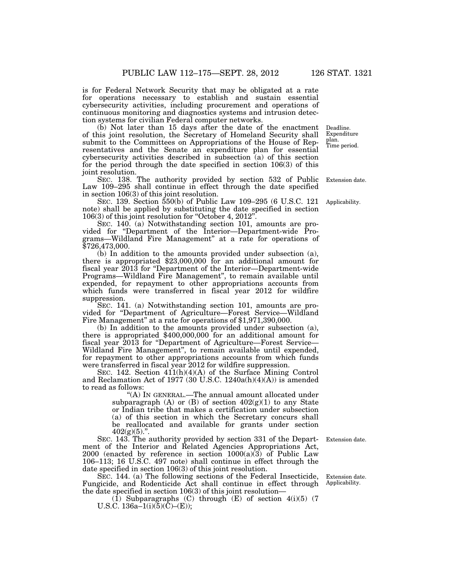is for Federal Network Security that may be obligated at a rate for operations necessary to establish and sustain essential cybersecurity activities, including procurement and operations of continuous monitoring and diagnostics systems and intrusion detection systems for civilian Federal computer networks.

(b) Not later than 15 days after the date of the enactment of this joint resolution, the Secretary of Homeland Security shall submit to the Committees on Appropriations of the House of Representatives and the Senate an expenditure plan for essential cybersecurity activities described in subsection (a) of this section for the period through the date specified in section 106(3) of this joint resolution. Extension date. Time period.

SEC. 138. The authority provided by section 532 of Public Law 109–295 shall continue in effect through the date specified in section 106(3) of this joint resolution.

SEC. 139. Section 550(b) of Public Law 109–295 (6 U.S.C. 121 note) shall be applied by substituting the date specified in section 106(3) of this joint resolution for ''October 4, 2012''.

SEC. 140. (a) Notwithstanding section 101, amounts are provided for ''Department of the Interior—Department-wide Programs—Wildland Fire Management'' at a rate for operations of \$726,473,000.

(b) In addition to the amounts provided under subsection (a), there is appropriated \$23,000,000 for an additional amount for fiscal year  $2013$  for "Department of the Interior—Department-wide Programs—Wildland Fire Management'', to remain available until expended, for repayment to other appropriations accounts from which funds were transferred in fiscal year 2012 for wildfire suppression.

SEC. 141. (a) Notwithstanding section 101, amounts are provided for ''Department of Agriculture—Forest Service—Wildland Fire Management'' at a rate for operations of \$1,971,390,000.

(b) In addition to the amounts provided under subsection (a), there is appropriated \$400,000,000 for an additional amount for fiscal year 2013 for ''Department of Agriculture—Forest Service— Wildland Fire Management'', to remain available until expended, for repayment to other appropriations accounts from which funds were transferred in fiscal year 2012 for wildfire suppression.

SEC. 142. Section  $411(h)(4)(A)$  of the Surface Mining Control and Reclamation Act of 1977 (30 U.S.C. 1240a(h)(4)(A)) is amended to read as follows:

> ''(A) IN GENERAL.—The annual amount allocated under subparagraph  $(A)$  or  $(B)$  of section  $402(g)(1)$  to any State or Indian tribe that makes a certification under subsection (a) of this section in which the Secretary concurs shall be reallocated and available for grants under section  $402(g)(5)$ .".

SEC. 143. The authority provided by section 331 of the Department of the Interior and Related Agencies Appropriations Act,  $2000$  (enacted by reference in section  $1000(a)(3)$  of Public Law 106–113; 16 U.S.C. 497 note) shall continue in effect through the date specified in section 106(3) of this joint resolution.

SEC. 144. (a) The following sections of the Federal Insecticide, Fungicide, and Rodenticide Act shall continue in effect through the date specified in section 106(3) of this joint resolution—

 $(1)$  Subparagraphs  $(C)$  through  $(E)$  of section  $4(i)(5)$  (7) U.S.C.  $136a-1(i)(5)(\tilde{C})-(E)$ ;

Extension date. Applicability.

Extension date.

Applicability.

Deadline. Expenditure plan.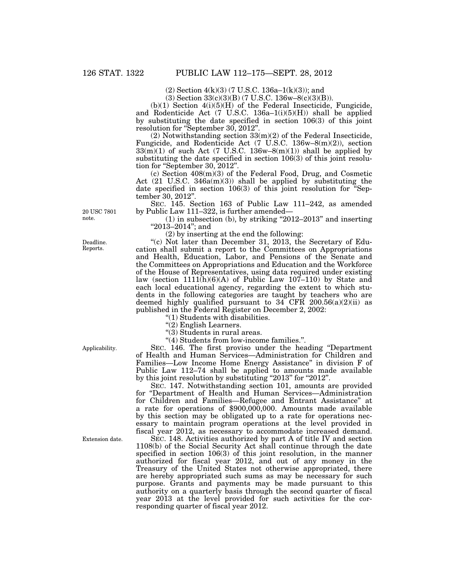(2) Section 4(k)(3) (7 U.S.C. 136a–1(k)(3)); and

 $(3)$  Section 33(c)(3)(B) (7 U.S.C. 136w–8(c)(3)(B)).

 $(b)(1)$  Section  $4(i)(5)(H)$  of the Federal Insecticide, Fungicide, and Rodenticide Act (7 U.S.C. 136a–1(i)(5)(H)) shall be applied by substituting the date specified in section 106(3) of this joint resolution for "September 30, 2012".

 $(2)$  Notwithstanding section  $33(m)(2)$  of the Federal Insecticide, Fungicide, and Rodenticide Act (7 U.S.C. 136w–8(m)(2)), section  $33(\text{m})(1)$  of such Act (7 U.S.C. 136w–8(m)(1)) shall be applied by substituting the date specified in section 106(3) of this joint resolution for "September 30, 2012".

(c) Section 408(m)(3) of the Federal Food, Drug, and Cosmetic Act (21 U.S.C. 346a(m)(3)) shall be applied by substituting the date specified in section 106(3) of this joint resolution for "September 30, 2012''.

SEC. 145. Section 163 of Public Law 111–242, as amended by Public Law 111–322, is further amended—

 $(1)$  in subsection  $(b)$ , by striking "2012–2013" and inserting "2013-2014"; and

(2) by inserting at the end the following:

"(c) Not later than December 31, 2013, the Secretary of Education shall submit a report to the Committees on Appropriations and Health, Education, Labor, and Pensions of the Senate and the Committees on Appropriations and Education and the Workforce of the House of Representatives, using data required under existing law (section  $1111(h)(6)(A)$  of Public Law  $107-110$ ) by State and each local educational agency, regarding the extent to which students in the following categories are taught by teachers who are deemed highly qualified pursuant to  $34$  CFR  $200.56(a)(2)(ii)$  as published in the Federal Register on December 2, 2002:

''(1) Students with disabilities.

 $\cdot$ (2) English Learners.

''(3) Students in rural areas.

''(4) Students from low-income families.''.

SEC. 146. The first proviso under the heading ''Department of Health and Human Services—Administration for Children and Families—Low Income Home Energy Assistance'' in division F of Public Law 112–74 shall be applied to amounts made available by this joint resolution by substituting "2013" for "2012".

SEC. 147. Notwithstanding section 101, amounts are provided for ''Department of Health and Human Services—Administration for Children and Families—Refugee and Entrant Assistance'' at a rate for operations of \$900,000,000. Amounts made available by this section may be obligated up to a rate for operations necessary to maintain program operations at the level provided in fiscal year 2012, as necessary to accommodate increased demand.

SEC. 148. Activities authorized by part A of title IV and section 1108(b) of the Social Security Act shall continue through the date specified in section 106(3) of this joint resolution, in the manner authorized for fiscal year 2012, and out of any money in the Treasury of the United States not otherwise appropriated, there are hereby appropriated such sums as may be necessary for such purpose. Grants and payments may be made pursuant to this authority on a quarterly basis through the second quarter of fiscal year 2013 at the level provided for such activities for the corresponding quarter of fiscal year 2012.

20 USC 7801 note.

Deadline. Reports.

Applicability.

Extension date.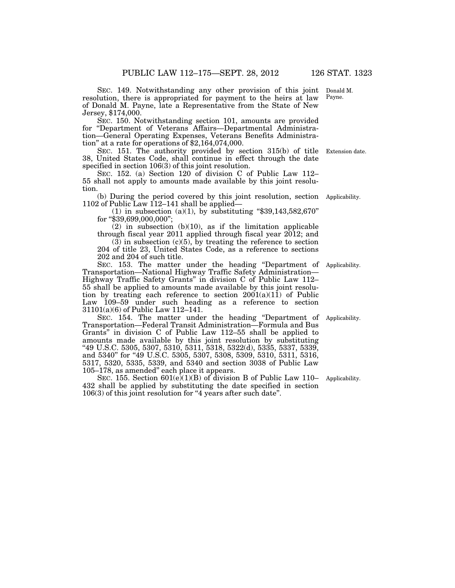SEC. 149. Notwithstanding any other provision of this joint resolution, there is appropriated for payment to the heirs at law of Donald M. Payne, late a Representative from the State of New Jersey, \$174,000. Donald M. Payne.

SEC. 150. Notwithstanding section 101, amounts are provided for ''Department of Veterans Affairs—Departmental Administration—General Operating Expenses, Veterans Benefits Administration'' at a rate for operations of \$2,164,074,000.

SEC. 151. The authority provided by section 315(b) of title 38, United States Code, shall continue in effect through the date specified in section 106(3) of this joint resolution. Extension date.

SEC. 152. (a) Section 120 of division C of Public Law 112– 55 shall not apply to amounts made available by this joint resolution.

(b) During the period covered by this joint resolution, section Applicability. 1102 of Public Law 112–141 shall be applied—

(1) in subsection (a)(1), by substituting " $$39,143,582,670"$ for "\$39,699,000,000";

 $(2)$  in subsection  $(b)(10)$ , as if the limitation applicable through fiscal year 2011 applied through fiscal year 2012; and

 $(3)$  in subsection  $(c)(5)$ , by treating the reference to section 204 of title 23, United States Code, as a reference to sections 202 and 204 of such title.

SEC. 153. The matter under the heading "Department of Transportation—National Highway Traffic Safety Administration— Highway Traffic Safety Grants'' in division C of Public Law 112– 55 shall be applied to amounts made available by this joint resolution by treating each reference to section 2001(a)(11) of Public Law 109–59 under such heading as a reference to section 31101(a)(6) of Public Law 112–141. Applicability.

SEC. 154. The matter under the heading ''Department of Transportation—Federal Transit Administration—Formula and Bus Grants'' in division C of Public Law 112–55 shall be applied to amounts made available by this joint resolution by substituting ''49 U.S.C. 5305, 5307, 5310, 5311, 5318, 5322(d), 5335, 5337, 5339, and 5340" for "49 U.S.C. 5305, 5307, 5308, 5309, 5310, 5311, 5316, 5317, 5320, 5335, 5339, and 5340 and section 3038 of Public Law 105–178, as amended'' each place it appears.

SEC. 155. Section  $601(e)(1)(B)$  of division B of Public Law 110– Applicability. 432 shall be applied by substituting the date specified in section 106(3) of this joint resolution for ''4 years after such date''.

Applicability.